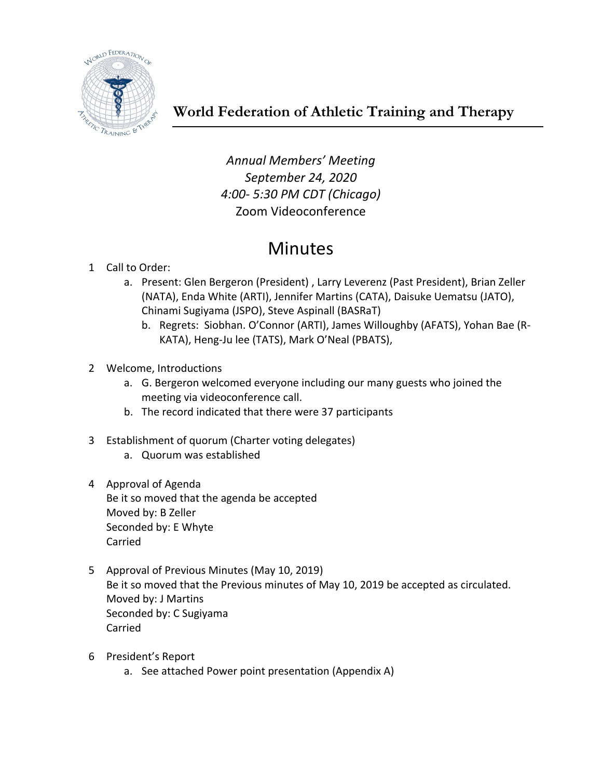

*Annual Members' Meeting September 24, 2020 4:00- 5:30 PM CDT (Chicago)* Zoom Videoconference

# Minutes

- 1 Call to Order:
	- a. Present: Glen Bergeron (President) , Larry Leverenz (Past President), Brian Zeller (NATA), Enda White (ARTI), Jennifer Martins (CATA), Daisuke Uematsu (JATO), Chinami Sugiyama (JSPO), Steve Aspinall (BASRaT)
		- b. Regrets: Siobhan. O'Connor (ARTI), James Willoughby (AFATS), Yohan Bae (R-KATA), Heng-Ju lee (TATS), Mark O'Neal (PBATS),
- 2 Welcome, Introductions
	- a. G. Bergeron welcomed everyone including our many guests who joined the meeting via videoconference call.
	- b. The record indicated that there were 37 participants
- 3 Establishment of quorum (Charter voting delegates)
	- a. Quorum was established
- 4 Approval of Agenda Be it so moved that the agenda be accepted Moved by: B Zeller Seconded by: E Whyte Carried
- 5 Approval of Previous Minutes (May 10, 2019) Be it so moved that the Previous minutes of May 10, 2019 be accepted as circulated. Moved by: J Martins Seconded by: C Sugiyama Carried
- 6 President's Report
	- a. See attached Power point presentation (Appendix A)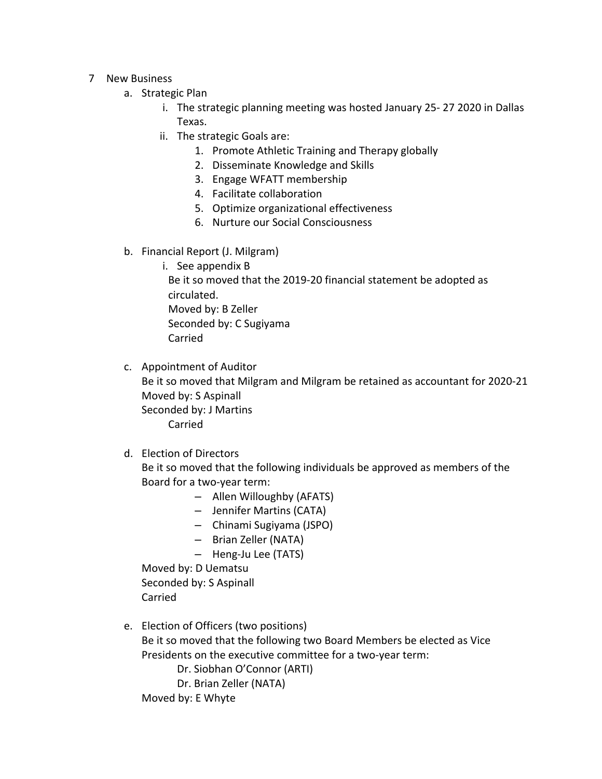- 7 New Business
	- a. Strategic Plan
		- i. The strategic planning meeting was hosted January 25- 27 2020 in Dallas Texas.
		- ii. The strategic Goals are:
			- 1. Promote Athletic Training and Therapy globally
			- 2. Disseminate Knowledge and Skills
			- 3. Engage WFATT membership
			- 4. Facilitate collaboration
			- 5. Optimize organizational effectiveness
			- 6. Nurture our Social Consciousness
	- b. Financial Report (J. Milgram)
		- i. See appendix B

Be it so moved that the 2019-20 financial statement be adopted as circulated. Moved by: B Zeller Seconded by: C Sugiyama Carried

c. Appointment of Auditor

Be it so moved that Milgram and Milgram be retained as accountant for 2020-21 Moved by: S Aspinall Seconded by: J Martins Carried

d. Election of Directors

Be it so moved that the following individuals be approved as members of the Board for a two-year term:

- Allen Willoughby (AFATS)
- Jennifer Martins (CATA)
- Chinami Sugiyama (JSPO)
- Brian Zeller (NATA)
- Heng-Ju Lee (TATS)

Moved by: D Uematsu Seconded by: S Aspinall Carried

e. Election of Officers (two positions)

Be it so moved that the following two Board Members be elected as Vice Presidents on the executive committee for a two-year term:

Dr. Siobhan O'Connor (ARTI)

Dr. Brian Zeller (NATA)

Moved by: E Whyte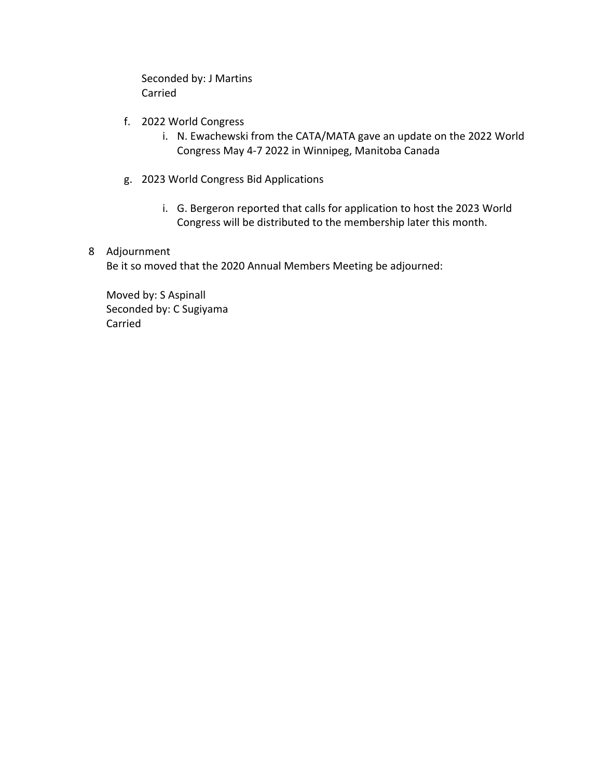Seconded by: J Martins Carried

- f. 2022 World Congress
	- i. N. Ewachewski from the CATA/MATA gave an update on the 2022 World Congress May 4-7 2022 in Winnipeg, Manitoba Canada
- g. 2023 World Congress Bid Applications
	- i. G. Bergeron reported that calls for application to host the 2023 World Congress will be distributed to the membership later this month.

# 8 Adjournment

Be it so moved that the 2020 Annual Members Meeting be adjourned:

Moved by: S Aspinall Seconded by: C Sugiyama Carried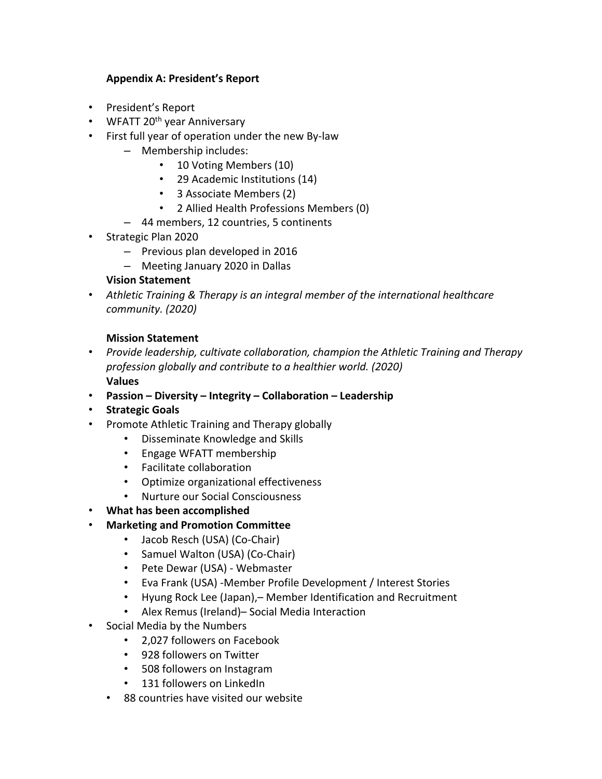# **Appendix A: President's Report**

- President's Report
- WFATT  $20<sup>th</sup>$  year Anniversary
- First full year of operation under the new By-law
	- Membership includes:
		- 10 Voting Members (10)
		- 29 Academic Institutions (14)
		- 3 Associate Members (2)
		- 2 Allied Health Professions Members (0)
	- 44 members, 12 countries, 5 continents
- Strategic Plan 2020
	- Previous plan developed in 2016
	- Meeting January 2020 in Dallas

#### **Vision Statement**

• *Athletic Training & Therapy is an integral member of the international healthcare community. (2020)*

#### **Mission Statement**

- *Provide leadership, cultivate collaboration, champion the Athletic Training and Therapy profession globally and contribute to a healthier world. (2020)* **Values**
- **Passion – Diversity – Integrity – Collaboration – Leadership**
- **Strategic Goals**
- Promote Athletic Training and Therapy globally
	- Disseminate Knowledge and Skills
	- Engage WFATT membership
	- Facilitate collaboration
	- Optimize organizational effectiveness
	- Nurture our Social Consciousness
- **What has been accomplished**
- **Marketing and Promotion Committee**
	- Jacob Resch (USA) (Co-Chair)
	- Samuel Walton (USA) (Co-Chair)
	- Pete Dewar (USA) Webmaster
	- Eva Frank (USA) -Member Profile Development / Interest Stories
	- Hyung Rock Lee (Japan),– Member Identification and Recruitment
	- Alex Remus (Ireland)– Social Media Interaction
- Social Media by the Numbers
	- 2,027 followers on Facebook
	- 928 followers on Twitter
	- 508 followers on Instagram
	- 131 followers on LinkedIn
	- 88 countries have visited our website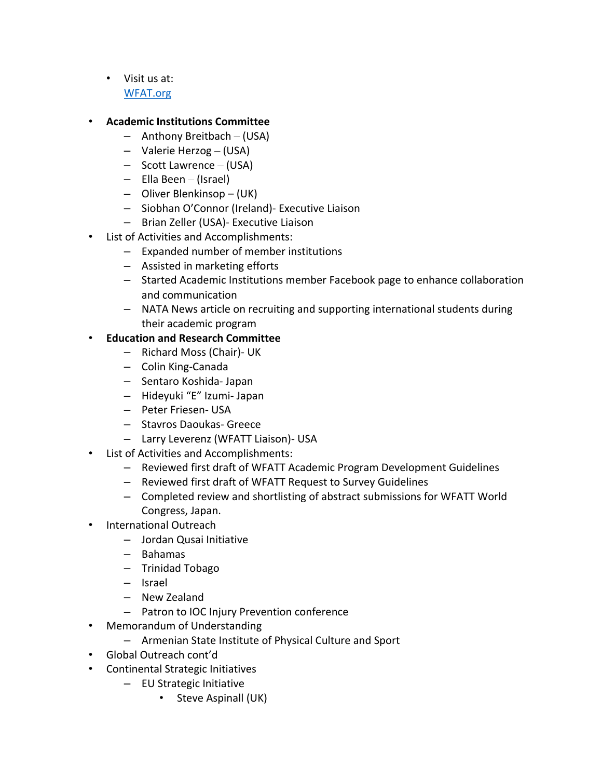• Visit us at: WFAT.org

## • **Academic Institutions Committee**

- Anthony Breitbach (USA)
- Valerie Herzog (USA)
- Scott Lawrence (USA)
- Ella Been (Israel)
- Oliver Blenkinsop (UK)
- Siobhan O'Connor (Ireland)- Executive Liaison
- Brian Zeller (USA)- Executive Liaison
- List of Activities and Accomplishments:
	- Expanded number of member institutions
	- Assisted in marketing efforts
	- Started Academic Institutions member Facebook page to enhance collaboration and communication
	- NATA News article on recruiting and supporting international students during their academic program

# • **Education and Research Committee**

- Richard Moss (Chair)- UK
- Colin King-Canada
- Sentaro Koshida- Japan
- Hideyuki "E" Izumi- Japan
- Peter Friesen- USA
- Stavros Daoukas- Greece
- Larry Leverenz (WFATT Liaison)- USA
- List of Activities and Accomplishments:
	- Reviewed first draft of WFATT Academic Program Development Guidelines
	- Reviewed first draft of WFATT Request to Survey Guidelines
	- Completed review and shortlisting of abstract submissions for WFATT World Congress, Japan.
- International Outreach
	- Jordan Qusai Initiative
	- Bahamas
	- Trinidad Tobago
	- Israel
	- New Zealand
	- Patron to IOC Injury Prevention conference
- Memorandum of Understanding
	- Armenian State Institute of Physical Culture and Sport
- Global Outreach cont'd
- Continental Strategic Initiatives
	- EU Strategic Initiative
		- Steve Aspinall (UK)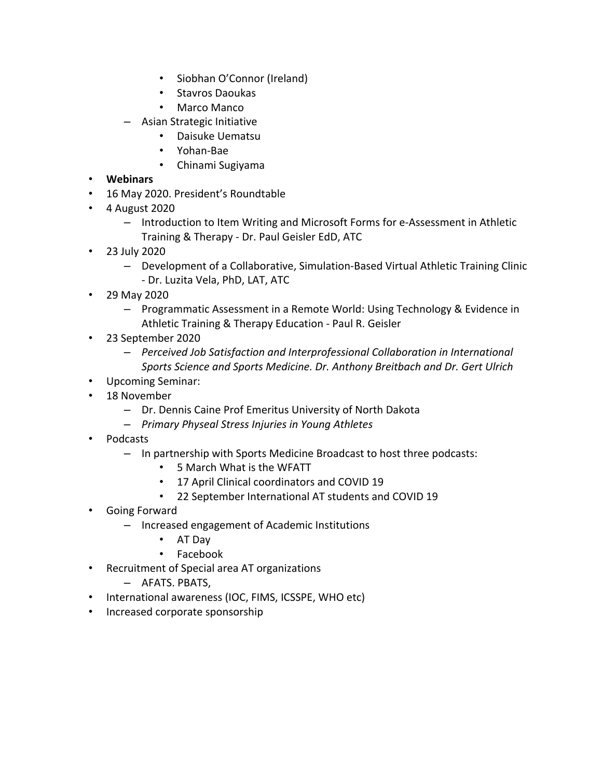- Siobhan O'Connor (Ireland)
- Stavros Daoukas
- Marco Manco
- Asian Strategic Initiative
	- Daisuke Uematsu
	- Yohan-Bae
	- Chinami Sugiyama
- **Webinars**
- 16 May 2020. President's Roundtable
- 4 August 2020
	- Introduction to Item Writing and Microsoft Forms for e-Assessment in Athletic Training & Therapy - Dr. Paul Geisler EdD, ATC
- 23 July 2020
	- Development of a Collaborative, Simulation-Based Virtual Athletic Training Clinic - Dr. Luzita Vela, PhD, LAT, ATC
- 29 May 2020
	- Programmatic Assessment in a Remote World: Using Technology & Evidence in Athletic Training & Therapy Education - Paul R. Geisler
- 23 September 2020
	- *Perceived Job Satisfaction and Interprofessional Collaboration in International Sports Science and Sports Medicine. Dr. Anthony Breitbach and Dr. Gert Ulrich*
- Upcoming Seminar:
- 18 November
	- Dr. Dennis Caine Prof Emeritus University of North Dakota
	- *Primary Physeal Stress Injuries in Young Athletes*
- Podcasts
	- In partnership with Sports Medicine Broadcast to host three podcasts:
		- 5 March What is the WFATT
		- 17 April Clinical coordinators and COVID 19
		- 22 September International AT students and COVID 19
- Going Forward
	- Increased engagement of Academic Institutions
		- AT Day
		- Facebook
- Recruitment of Special area AT organizations
	- AFATS. PBATS,
- International awareness (IOC, FIMS, ICSSPE, WHO etc)
- Increased corporate sponsorship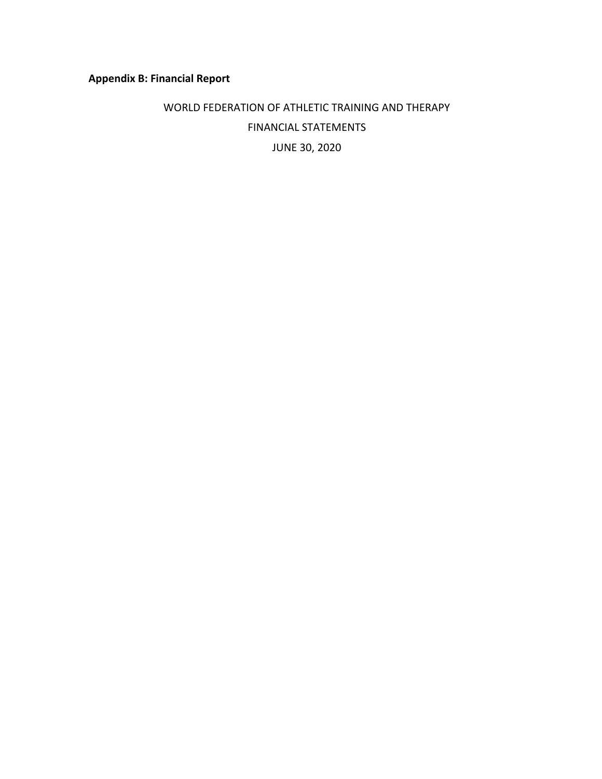# **Appendix B: Financial Report**

# WORLD FEDERATION OF ATHLETIC TRAINING AND THERAPY FINANCIAL STATEMENTS JUNE 30, 2020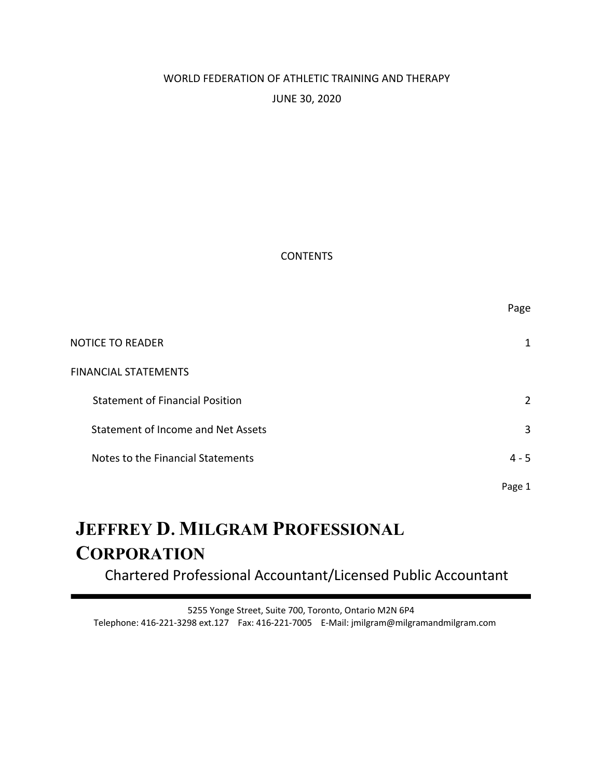# WORLD FEDERATION OF ATHLETIC TRAINING AND THERAPY JUNE 30, 2020

#### **CONTENTS**

|                                        | Page           |
|----------------------------------------|----------------|
| <b>NOTICE TO READER</b>                | 1              |
| <b>FINANCIAL STATEMENTS</b>            |                |
| <b>Statement of Financial Position</b> | $\overline{2}$ |
| Statement of Income and Net Assets     | 3              |
| Notes to the Financial Statements      | $4 - 5$        |
|                                        | Page 1         |

# **JEFFREY D. MILGRAM PROFESSIONAL CORPORATION**

Chartered Professional Accountant/Licensed Public Accountant

5255 Yonge Street, Suite 700, Toronto, Ontario M2N 6P4 Telephone: 416-221-3298 ext.127 Fax: 416-221-7005 E-Mail: jmilgram@milgramandmilgram.com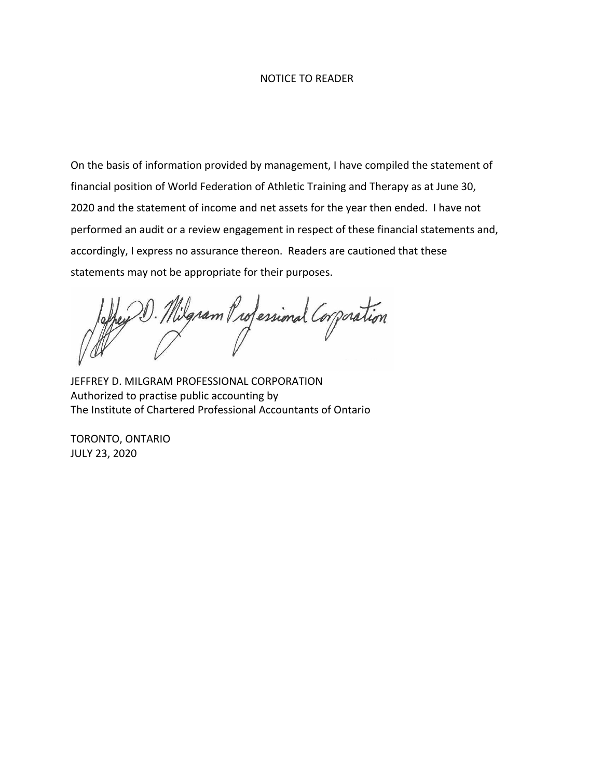#### NOTICE TO READER

On the basis of information provided by management, I have compiled the statement of financial position of World Federation of Athletic Training and Therapy as at June 30, 2020 and the statement of income and net assets for the year then ended. I have not performed an audit or a review engagement in respect of these financial statements and, accordingly, I express no assurance thereon. Readers are cautioned that these statements may not be appropriate for their purposes.

Igram Professional Corporation

JEFFREY D. MILGRAM PROFESSIONAL CORPORATION Authorized to practise public accounting by The Institute of Chartered Professional Accountants of Ontario

TORONTO, ONTARIO JULY 23, 2020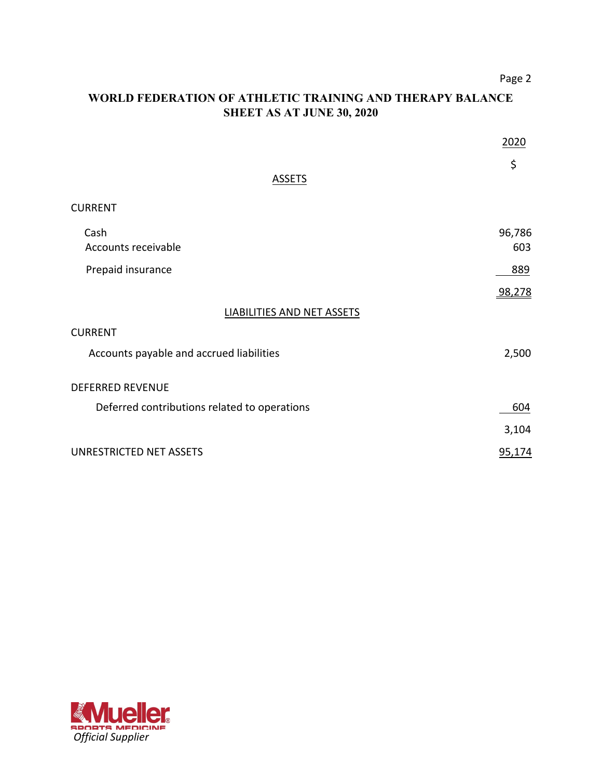Page 2

# **WORLD FEDERATION OF ATHLETIC TRAINING AND THERAPY BALANCE SHEET AS AT JUNE 30, 2020**

|                                              | 2020          |
|----------------------------------------------|---------------|
| <b>ASSETS</b>                                | \$            |
| <b>CURRENT</b>                               |               |
| Cash<br>Accounts receivable                  | 96,786<br>603 |
| Prepaid insurance                            | 889           |
|                                              | 98,278        |
| LIABILITIES AND NET ASSETS                   |               |
| <b>CURRENT</b>                               |               |
| Accounts payable and accrued liabilities     | 2,500         |
| <b>DEFERRED REVENUE</b>                      |               |
| Deferred contributions related to operations | 604           |
|                                              | 3,104         |
| UNRESTRICTED NET ASSETS                      | 95,174        |

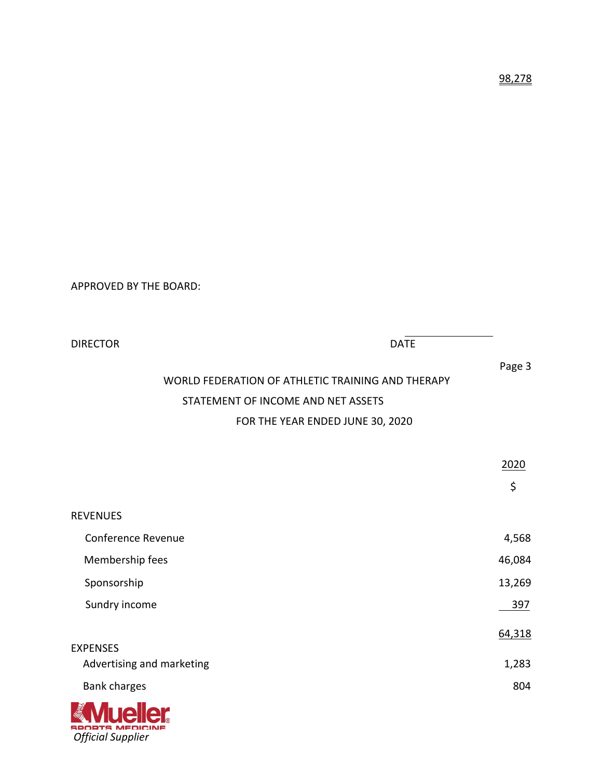APPROVED BY THE BOARD:

| <b>DIRECTOR</b>                    | <b>DATE</b>                                                 |
|------------------------------------|-------------------------------------------------------------|
|                                    | Page 3<br>WORLD FEDERATION OF ATHLETIC TRAINING AND THERAPY |
|                                    |                                                             |
| STATEMENT OF INCOME AND NET ASSETS |                                                             |
|                                    | FOR THE YEAR ENDED JUNE 30, 2020                            |
|                                    |                                                             |
|                                    | 2020                                                        |
|                                    | \$                                                          |
| <b>REVENUES</b>                    |                                                             |
| <b>Conference Revenue</b>          | 4,568                                                       |
| Membership fees                    | 46,084                                                      |
| Sponsorship                        | 13,269                                                      |
| Sundry income                      | 397                                                         |
|                                    | 64,318                                                      |
| <b>EXPENSES</b>                    |                                                             |
| Advertising and marketing          | 1,283                                                       |
| Bank charges                       | 804                                                         |
| <b>SAME DE LA PROPERTY</b>         |                                                             |

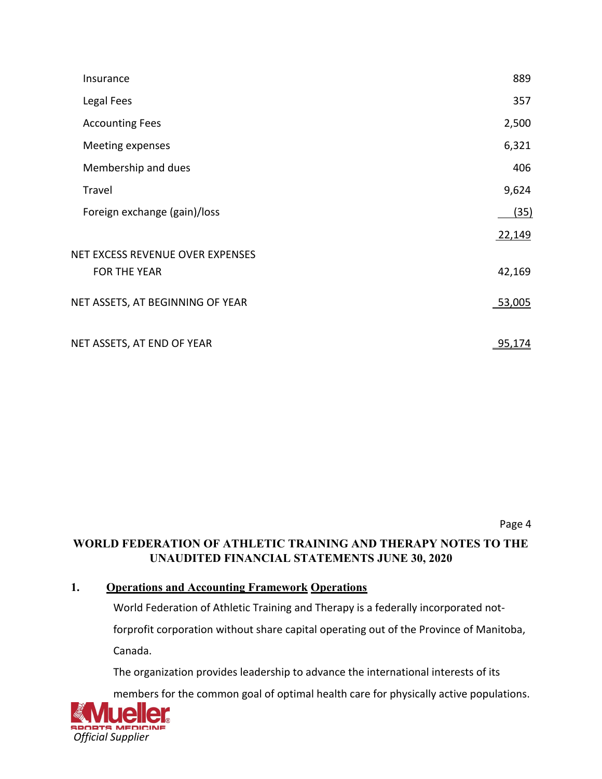| Insurance                        | 889           |
|----------------------------------|---------------|
| Legal Fees                       | 357           |
| <b>Accounting Fees</b>           | 2,500         |
| Meeting expenses                 | 6,321         |
| Membership and dues              | 406           |
| Travel                           | 9,624         |
| Foreign exchange (gain)/loss     | (35)          |
|                                  | 22,149        |
| NET EXCESS REVENUE OVER EXPENSES |               |
| <b>FOR THE YEAR</b>              | 42,169        |
| NET ASSETS, AT BEGINNING OF YEAR | 53,005        |
| NET ASSETS, AT END OF YEAR       | <u>95,174</u> |

Page 4

# **WORLD FEDERATION OF ATHLETIC TRAINING AND THERAPY NOTES TO THE UNAUDITED FINANCIAL STATEMENTS JUNE 30, 2020**

# **1. Operations and Accounting Framework Operations**

World Federation of Athletic Training and Therapy is a federally incorporated not-

forprofit corporation without share capital operating out of the Province of Manitoba,

Canada.

The organization provides leadership to advance the international interests of its

members for the common goal of optimal health care for physically active populations.

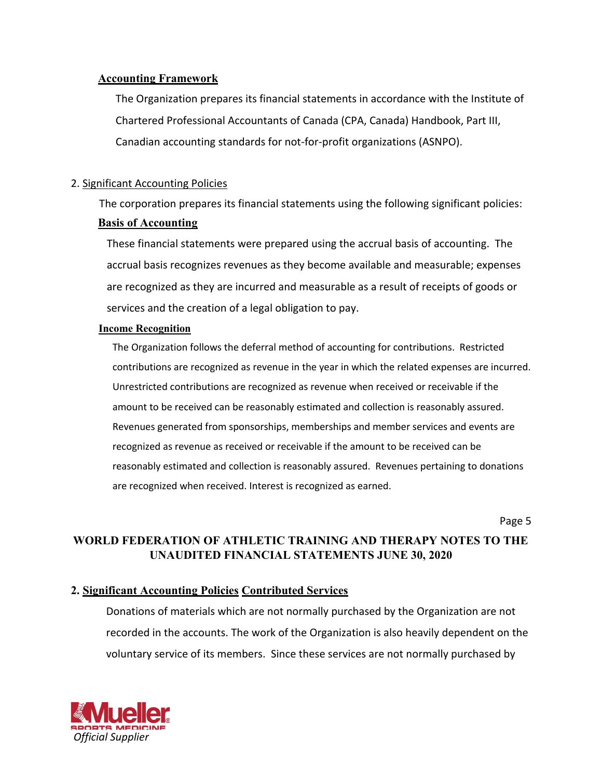### **Accounting Framework**

The Organization prepares its financial statements in accordance with the Institute of Chartered Professional Accountants of Canada (CPA, Canada) Handbook, Part III, Canadian accounting standards for not-for-profit organizations (ASNPO).

# 2. Significant Accounting Policies

The corporation prepares its financial statements using the following significant policies: **Basis of Accounting**

These financial statements were prepared using the accrual basis of accounting. The accrual basis recognizes revenues as they become available and measurable; expenses are recognized as they are incurred and measurable as a result of receipts of goods or services and the creation of a legal obligation to pay.

#### **Income Recognition**

The Organization follows the deferral method of accounting for contributions. Restricted contributions are recognized as revenue in the year in which the related expenses are incurred. Unrestricted contributions are recognized as revenue when received or receivable if the amount to be received can be reasonably estimated and collection is reasonably assured. Revenues generated from sponsorships, memberships and member services and events are recognized as revenue as received or receivable if the amount to be received can be reasonably estimated and collection is reasonably assured. Revenues pertaining to donations are recognized when received. Interest is recognized as earned.

Page 5

# **WORLD FEDERATION OF ATHLETIC TRAINING AND THERAPY NOTES TO THE UNAUDITED FINANCIAL STATEMENTS JUNE 30, 2020**

# **2. Significant Accounting Policies Contributed Services**

Donations of materials which are not normally purchased by the Organization are not recorded in the accounts. The work of the Organization is also heavily dependent on the voluntary service of its members. Since these services are not normally purchased by

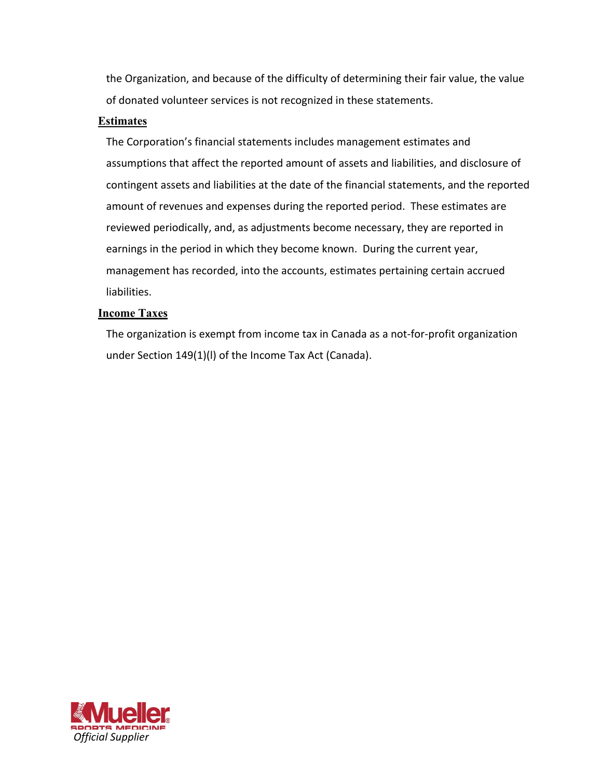the Organization, and because of the difficulty of determining their fair value, the value of donated volunteer services is not recognized in these statements.

### **Estimates**

The Corporation's financial statements includes management estimates and assumptions that affect the reported amount of assets and liabilities, and disclosure of contingent assets and liabilities at the date of the financial statements, and the reported amount of revenues and expenses during the reported period. These estimates are reviewed periodically, and, as adjustments become necessary, they are reported in earnings in the period in which they become known. During the current year, management has recorded, into the accounts, estimates pertaining certain accrued liabilities.

## **Income Taxes**

The organization is exempt from income tax in Canada as a not-for-profit organization under Section 149(1)(l) of the Income Tax Act (Canada).

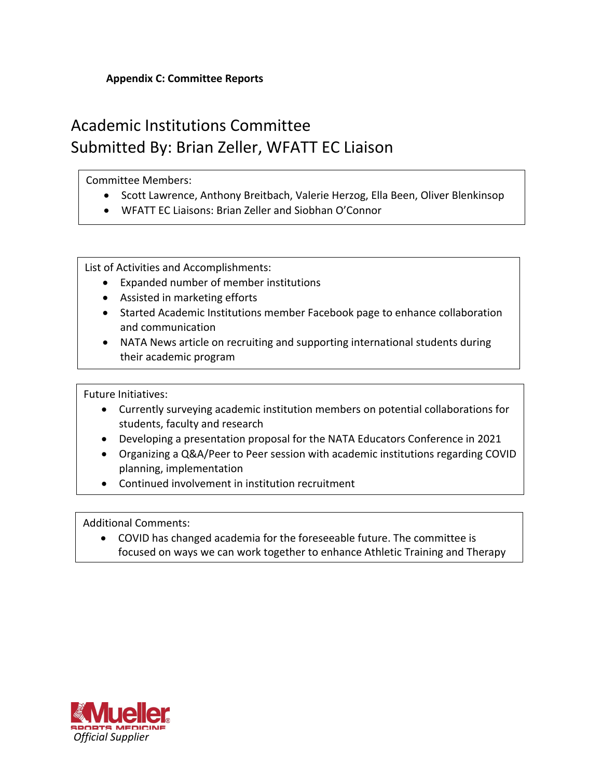# **Appendix C: Committee Reports**

# Academic Institutions Committee Submitted By: Brian Zeller, WFATT EC Liaison

## Committee Members:

- Scott Lawrence, Anthony Breitbach, Valerie Herzog, Ella Been, Oliver Blenkinsop
- WFATT EC Liaisons: Brian Zeller and Siobhan O'Connor

List of Activities and Accomplishments:

- Expanded number of member institutions
- Assisted in marketing efforts
- Started Academic Institutions member Facebook page to enhance collaboration and communication
- NATA News article on recruiting and supporting international students during their academic program

Future Initiatives:

- Currently surveying academic institution members on potential collaborations for students, faculty and research
- Developing a presentation proposal for the NATA Educators Conference in 2021
- Organizing a Q&A/Peer to Peer session with academic institutions regarding COVID planning, implementation
- Continued involvement in institution recruitment

Additional Comments:

education in the control of

• COVID has changed academia for the foreseeable future. The committee is focused on ways we can work together to enhance Athletic Training and Therapy

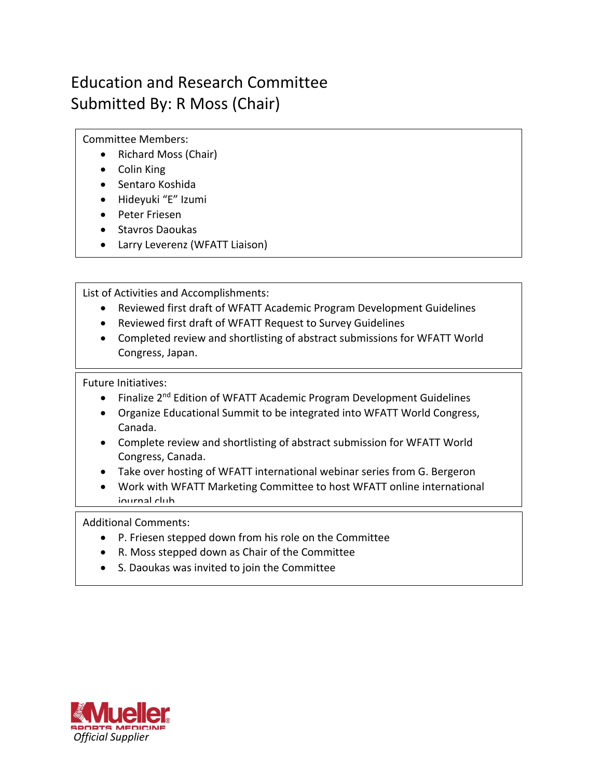# Education and Research Committee Submitted By: R Moss (Chair)

Committee Members:

- Richard Moss (Chair)
- Colin King
- Sentaro Koshida
- Hideyuki "E" Izumi
- Peter Friesen
- Stavros Daoukas
- Larry Leverenz (WFATT Liaison)

List of Activities and Accomplishments:

- Reviewed first draft of WFATT Academic Program Development Guidelines
- Reviewed first draft of WFATT Request to Survey Guidelines
- Completed review and shortlisting of abstract submissions for WFATT World Congress, Japan.

Future Initiatives:

- Finalize 2<sup>nd</sup> Edition of WFATT Academic Program Development Guidelines
- Organize Educational Summit to be integrated into WFATT World Congress, Canada.
- Complete review and shortlisting of abstract submission for WFATT World Congress, Canada.
- Take over hosting of WFATT international webinar series from G. Bergeron
- Work with WFATT Marketing Committee to host WFATT online international iournal club

Additional Comments:

- P. Friesen stepped down from his role on the Committee
- R. Moss stepped down as Chair of the Committee
- S. Daoukas was invited to join the Committee